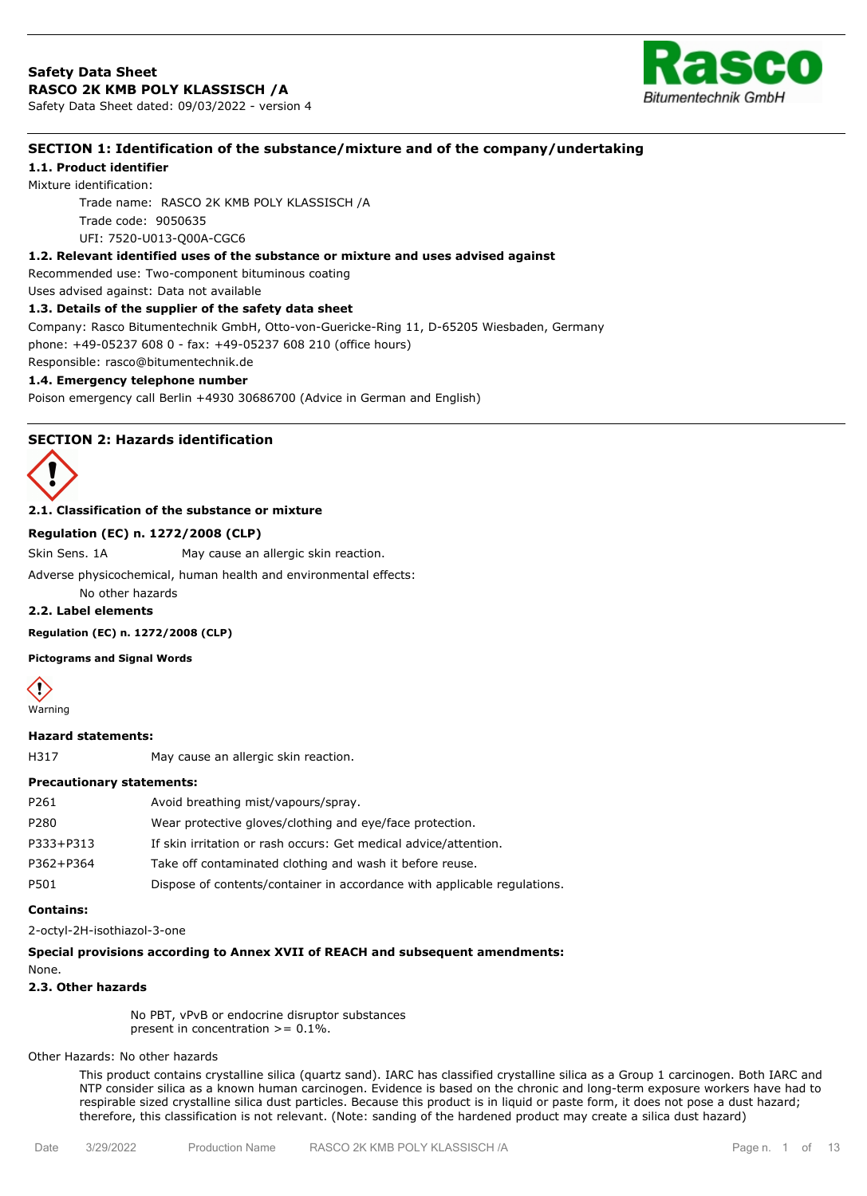

# **SECTION 1: Identification of the substance/mixture and of the company/undertaking**

# **1.1. Product identifier**

Mixture identification:

Trade name: RASCO 2K KMB POLY KLASSISCH /A Trade code: 9050635 UFI: 7520-U013-Q00A-CGC6

## **1.2. Relevant identified uses of the substance or mixture and uses advised against**

Recommended use: Two-component bituminous coating

Uses advised against: Data not available

#### **1.3. Details of the supplier of the safety data sheet**

Company: Rasco Bitumentechnik GmbH, Otto-von-Guericke-Ring 11, D-65205 Wiesbaden, Germany phone: +49-05237 608 0 - fax: +49-05237 608 210 (office hours)

Responsible: rasco@bitumentechnik.de

## **1.4. Emergency telephone number**

Poison emergency call Berlin +4930 30686700 (Advice in German and English)

### **SECTION 2: Hazards identification**



### **2.1. Classification of the substance or mixture**

#### **Regulation (EC) n. 1272/2008 (CLP)**

Skin Sens. 1A May cause an allergic skin reaction.

Adverse physicochemical, human health and environmental effects:

No other hazards

# **2.2. Label elements**

**Regulation (EC) n. 1272/2008 (CLP)**

**Pictograms and Signal Words**



#### **Hazard statements:**

H317 May cause an allergic skin reaction.

#### **Precautionary statements:**

| P261      | Avoid breathing mist/vapours/spray.                                      |
|-----------|--------------------------------------------------------------------------|
| P280      | Wear protective gloves/clothing and eye/face protection.                 |
| P333+P313 | If skin irritation or rash occurs: Get medical advice/attention.         |
| P362+P364 | Take off contaminated clothing and wash it before reuse.                 |
| P501      | Dispose of contents/container in accordance with applicable regulations. |

#### **Contains:**

2-octyl-2H-isothiazol-3-one

#### **Special provisions according to Annex XVII of REACH and subsequent amendments:**

None.

## **2.3. Other hazards**

No PBT, vPvB or endocrine disruptor substances present in concentration  $>= 0.1\%$ .

Other Hazards: No other hazards

This product contains crystalline silica (quartz sand). IARC has classified crystalline silica as a Group 1 carcinogen. Both IARC and NTP consider silica as a known human carcinogen. Evidence is based on the chronic and long-term exposure workers have had to respirable sized crystalline silica dust particles. Because this product is in liquid or paste form, it does not pose a dust hazard; therefore, this classification is not relevant. (Note: sanding of the hardened product may create a silica dust hazard)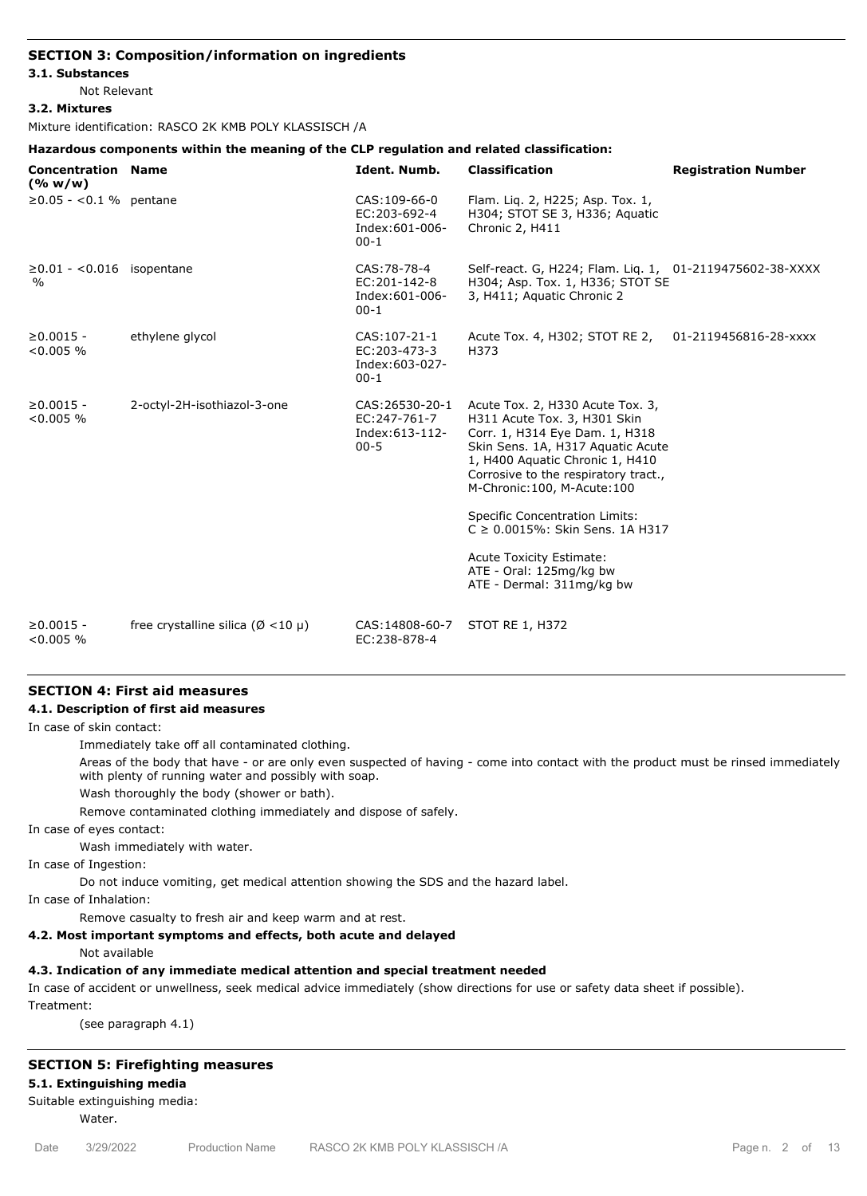## **SECTION 3: Composition/information on ingredients**

#### **3.1. Substances**

Not Relevant

#### **3.2. Mixtures**

Mixture identification: RASCO 2K KMB POLY KLASSISCH /A

## **Hazardous components within the meaning of the CLP regulation and related classification:**

| <b>Concentration Name</b><br>(% w/w)              |                                                | Ident. Numb.                                                    | <b>Classification</b>                                                                                                                                                                                                                                                                                                                                                                                                           | <b>Registration Number</b> |
|---------------------------------------------------|------------------------------------------------|-----------------------------------------------------------------|---------------------------------------------------------------------------------------------------------------------------------------------------------------------------------------------------------------------------------------------------------------------------------------------------------------------------------------------------------------------------------------------------------------------------------|----------------------------|
| $≥0.05 - <0.1%$ pentane                           |                                                | CAS: 109-66-0<br>EC: 203-692-4<br>Index: 601-006-<br>$00-1$     | Flam. Lig. 2, H225; Asp. Tox. 1,<br>H304; STOT SE 3, H336; Aquatic<br>Chronic 2, H411                                                                                                                                                                                                                                                                                                                                           |                            |
| $\geq$ 0.01 - < 0.016 isopentane<br>$\frac{0}{0}$ |                                                | CAS:78-78-4<br>EC:201-142-8<br>Index: 601-006-<br>$00-1$        | Self-react. G, H224; Flam. Lig. 1, 01-2119475602-38-XXXX<br>H304; Asp. Tox. 1, H336; STOT SE<br>3, H411; Aquatic Chronic 2                                                                                                                                                                                                                                                                                                      |                            |
| $\geq 0.0015 -$<br>$< 0.005 \%$                   | ethylene glycol                                | CAS: 107-21-1<br>EC: 203-473-3<br>Index: 603-027-<br>$00-1$     | Acute Tox. 4, H302; STOT RE 2,<br>H373                                                                                                                                                                                                                                                                                                                                                                                          | 01-2119456816-28-xxxx      |
| $\geq 0.0015 -$<br>$< 0.005 \%$                   | 2-octyl-2H-isothiazol-3-one                    | CAS: 26530-20-1<br>EC: 247-761-7<br>Index: 613-112-<br>$00 - 5$ | Acute Tox. 2, H330 Acute Tox. 3,<br>H311 Acute Tox. 3, H301 Skin<br>Corr. 1, H314 Eye Dam. 1, H318<br>Skin Sens. 1A, H317 Aquatic Acute<br>1, H400 Aquatic Chronic 1, H410<br>Corrosive to the respiratory tract.,<br>M-Chronic: 100, M-Acute: 100<br><b>Specific Concentration Limits:</b><br>$C \ge 0.0015\%$ : Skin Sens. 1A H317<br><b>Acute Toxicity Estimate:</b><br>ATE - Oral: 125mg/kg bw<br>ATE - Dermal: 311mg/kg bw |                            |
| $\geq 0.0015 -$<br>$< 0.005 \%$                   | free crystalline silica ( $\varnothing$ <10 µ) | CAS: 14808-60-7<br>EC:238-878-4                                 | STOT RE 1, H372                                                                                                                                                                                                                                                                                                                                                                                                                 |                            |

# **SECTION 4: First aid measures**

### **4.1. Description of first aid measures**

In case of skin contact:

Immediately take off all contaminated clothing.

Areas of the body that have - or are only even suspected of having - come into contact with the product must be rinsed immediately with plenty of running water and possibly with soap.

Wash thoroughly the body (shower or bath).

Remove contaminated clothing immediately and dispose of safely.

In case of eyes contact:

Wash immediately with water.

In case of Ingestion:

Do not induce vomiting, get medical attention showing the SDS and the hazard label.

In case of Inhalation:

Remove casualty to fresh air and keep warm and at rest.

## **4.2. Most important symptoms and effects, both acute and delayed**

Not available

# **4.3. Indication of any immediate medical attention and special treatment needed**

In case of accident or unwellness, seek medical advice immediately (show directions for use or safety data sheet if possible).

Treatment:

(see paragraph 4.1)

## **SECTION 5: Firefighting measures**

## **5.1. Extinguishing media**

## Suitable extinguishing media:

Water.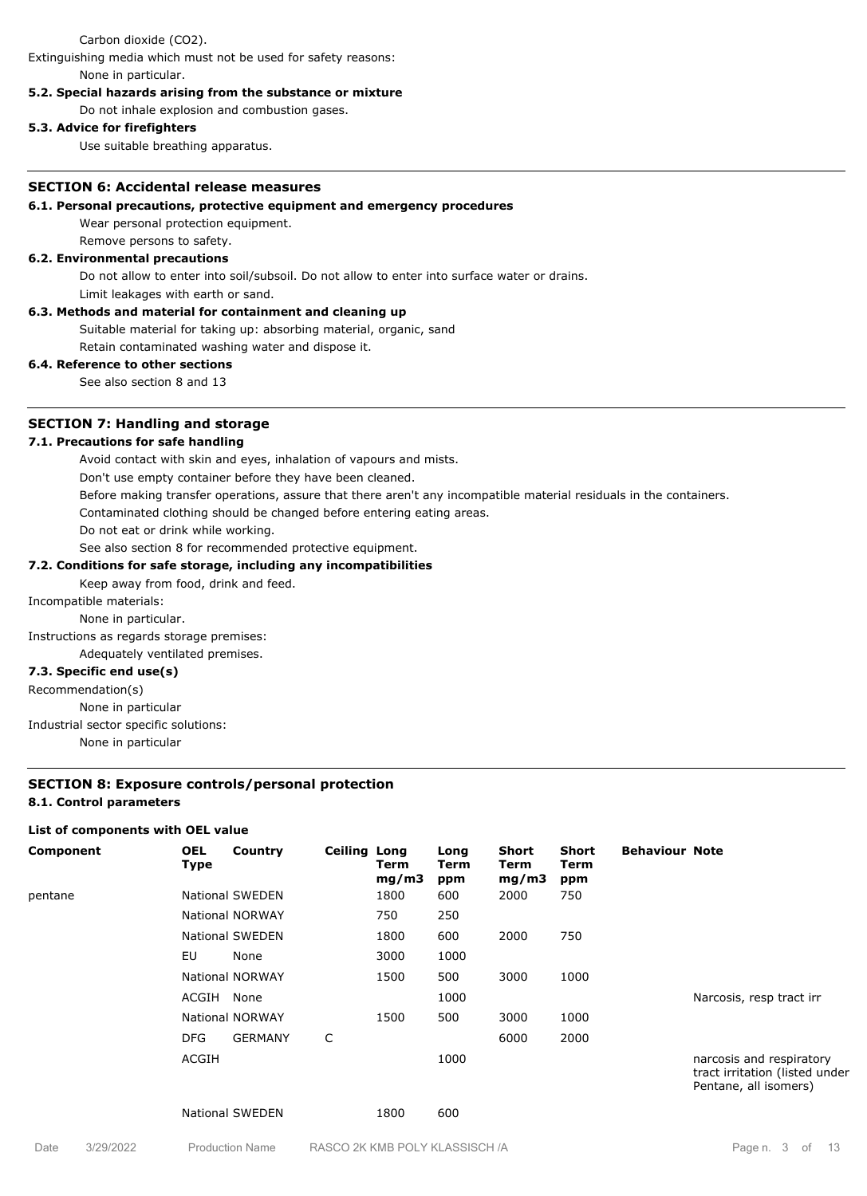#### Carbon dioxide (CO2).

Extinguishing media which must not be used for safety reasons: None in particular.

#### **5.2. Special hazards arising from the substance or mixture**

Do not inhale explosion and combustion gases.

### **5.3. Advice for firefighters**

Use suitable breathing apparatus.

#### **SECTION 6: Accidental release measures**

### **6.1. Personal precautions, protective equipment and emergency procedures**

Wear personal protection equipment.

Remove persons to safety.

## **6.2. Environmental precautions**

Do not allow to enter into soil/subsoil. Do not allow to enter into surface water or drains.

Limit leakages with earth or sand.

### **6.3. Methods and material for containment and cleaning up**

Suitable material for taking up: absorbing material, organic, sand

Retain contaminated washing water and dispose it.

# **6.4. Reference to other sections**

See also section 8 and 13

## **SECTION 7: Handling and storage**

#### **7.1. Precautions for safe handling**

Avoid contact with skin and eyes, inhalation of vapours and mists.

Don't use empty container before they have been cleaned.

Before making transfer operations, assure that there aren't any incompatible material residuals in the containers.

Contaminated clothing should be changed before entering eating areas.

Do not eat or drink while working.

# See also section 8 for recommended protective equipment.

## **7.2. Conditions for safe storage, including any incompatibilities**

Keep away from food, drink and feed.

Incompatible materials:

## None in particular.

Instructions as regards storage premises:

Adequately ventilated premises.

#### **7.3. Specific end use(s)**

Recommendation(s)

None in particular

#### Industrial sector specific solutions:

None in particular

#### **SECTION 8: Exposure controls/personal protection**

#### **8.1. Control parameters**

#### **List of components with OEL value**

| Component | <b>OEL</b><br>Type | Country                | <b>Ceiling Long</b> | Term<br>mg/m3 | Long<br>Term<br>ppm | <b>Short</b><br>Term<br>mg/m3 | Short<br>Term<br>ppm | <b>Behaviour Note</b> |                                                                                     |
|-----------|--------------------|------------------------|---------------------|---------------|---------------------|-------------------------------|----------------------|-----------------------|-------------------------------------------------------------------------------------|
| pentane   |                    | <b>National SWEDEN</b> |                     | 1800          | 600                 | 2000                          | 750                  |                       |                                                                                     |
|           |                    | <b>National NORWAY</b> |                     | 750           | 250                 |                               |                      |                       |                                                                                     |
|           |                    | <b>National SWEDEN</b> |                     | 1800          | 600                 | 2000                          | 750                  |                       |                                                                                     |
|           | EU                 | None                   |                     | 3000          | 1000                |                               |                      |                       |                                                                                     |
|           |                    | <b>National NORWAY</b> |                     | 1500          | 500                 | 3000                          | 1000                 |                       |                                                                                     |
|           | ACGIH              | None                   |                     |               | 1000                |                               |                      |                       | Narcosis, resp tract irr                                                            |
|           |                    | <b>National NORWAY</b> |                     | 1500          | 500                 | 3000                          | 1000                 |                       |                                                                                     |
|           | <b>DFG</b>         | <b>GERMANY</b>         | C                   |               |                     | 6000                          | 2000                 |                       |                                                                                     |
|           | ACGIH              |                        |                     |               | 1000                |                               |                      |                       | narcosis and respiratory<br>tract irritation (listed under<br>Pentane, all isomers) |
|           |                    | <b>National SWEDEN</b> |                     | 1800          | 600                 |                               |                      |                       |                                                                                     |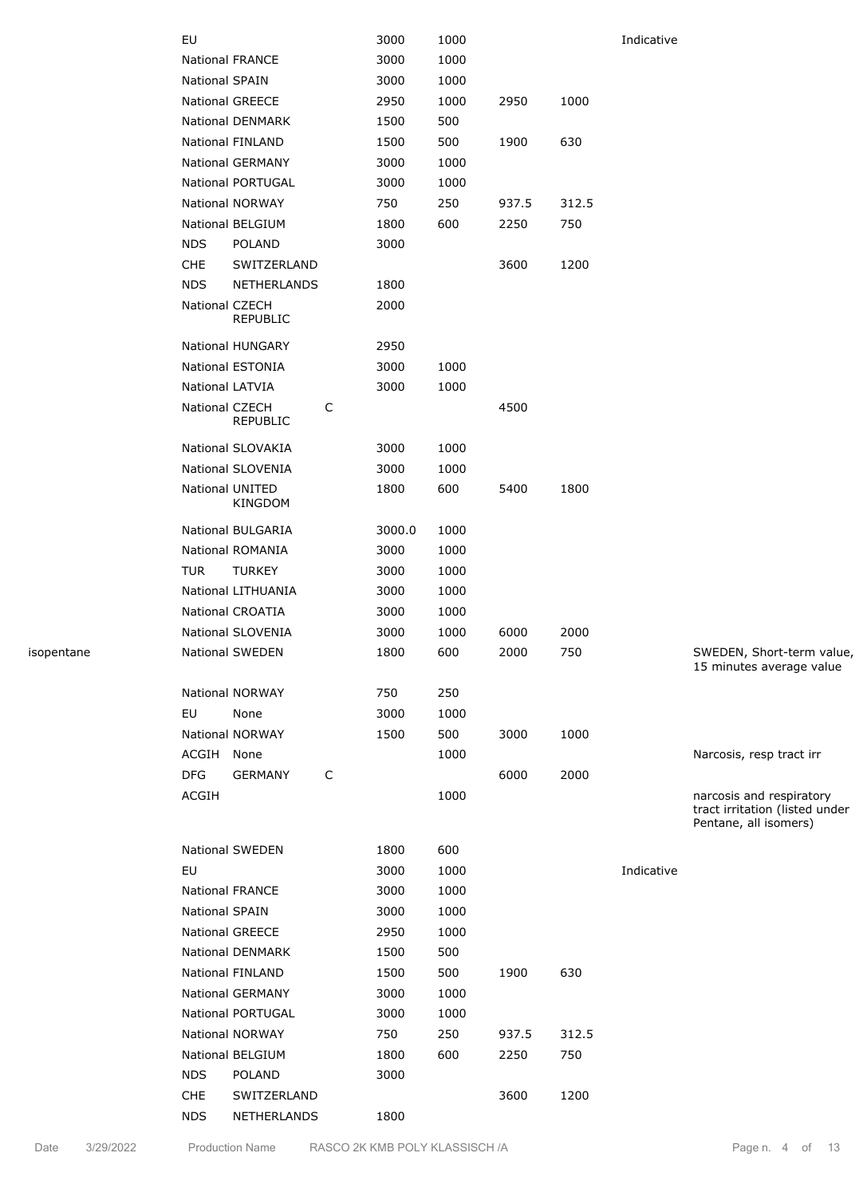|            | EU             |                                                  |   | 3000         | 1000 |       |       | Indicative |                                                                                     |
|------------|----------------|--------------------------------------------------|---|--------------|------|-------|-------|------------|-------------------------------------------------------------------------------------|
|            |                | National FRANCE                                  |   | 3000         | 1000 |       |       |            |                                                                                     |
|            | National SPAIN |                                                  |   | 3000         | 1000 |       |       |            |                                                                                     |
|            |                | <b>National GREECE</b>                           |   | 2950         | 1000 | 2950  | 1000  |            |                                                                                     |
|            |                | National DENMARK                                 |   | 1500         | 500  |       |       |            |                                                                                     |
|            |                | National FINLAND                                 |   | 1500         | 500  | 1900  | 630   |            |                                                                                     |
|            |                | National GERMANY                                 |   | 3000         | 1000 |       |       |            |                                                                                     |
|            |                | <b>National PORTUGAL</b>                         |   | 3000         | 1000 |       |       |            |                                                                                     |
|            |                | <b>National NORWAY</b>                           |   | 750          | 250  | 937.5 | 312.5 |            |                                                                                     |
|            |                | National BELGIUM                                 |   | 1800         | 600  | 2250  | 750   |            |                                                                                     |
|            | <b>NDS</b>     | POLAND                                           |   | 3000         |      |       |       |            |                                                                                     |
|            |                |                                                  |   |              |      |       |       |            |                                                                                     |
|            | <b>CHE</b>     | SWITZERLAND                                      |   |              |      | 3600  | 1200  |            |                                                                                     |
|            | <b>NDS</b>     | NETHERLANDS<br>National CZECH<br><b>REPUBLIC</b> |   | 1800<br>2000 |      |       |       |            |                                                                                     |
|            |                | <b>National HUNGARY</b>                          |   | 2950         |      |       |       |            |                                                                                     |
|            |                | National ESTONIA                                 |   | 3000         | 1000 |       |       |            |                                                                                     |
|            |                | National LATVIA                                  |   | 3000         | 1000 |       |       |            |                                                                                     |
|            |                | National CZECH<br>REPUBLIC                       | C |              |      | 4500  |       |            |                                                                                     |
|            |                | National SLOVAKIA                                |   | 3000         | 1000 |       |       |            |                                                                                     |
|            |                | National SLOVENIA                                |   | 3000         | 1000 |       |       |            |                                                                                     |
|            |                | National UNITED<br>KINGDOM                       |   | 1800         | 600  | 5400  | 1800  |            |                                                                                     |
|            |                | National BULGARIA                                |   | 3000.0       | 1000 |       |       |            |                                                                                     |
|            |                | National ROMANIA                                 |   | 3000         | 1000 |       |       |            |                                                                                     |
|            | <b>TUR</b>     | <b>TURKEY</b>                                    |   | 3000         | 1000 |       |       |            |                                                                                     |
|            |                | National LITHUANIA                               |   | 3000         | 1000 |       |       |            |                                                                                     |
|            |                | <b>National CROATIA</b>                          |   |              |      |       |       |            |                                                                                     |
|            |                |                                                  |   | 3000         | 1000 |       |       |            |                                                                                     |
|            |                | National SLOVENIA                                |   | 3000         | 1000 | 6000  | 2000  |            |                                                                                     |
| isopentane |                | National SWEDEN                                  |   | 1800         | 600  | 2000  | 750   |            | SWEDEN, Short-term value,<br>15 minutes average value                               |
|            |                | <b>National NORWAY</b>                           |   | 750          | 250  |       |       |            |                                                                                     |
|            | EU             | None                                             |   | 3000         | 1000 |       |       |            |                                                                                     |
|            |                | National NORWAY                                  |   | 1500         | 500  | 3000  | 1000  |            |                                                                                     |
|            | ACGIH None     |                                                  |   |              | 1000 |       |       |            | Narcosis, resp tract irr                                                            |
|            | <b>DFG</b>     | <b>GERMANY</b>                                   | C |              |      | 6000  | 2000  |            |                                                                                     |
|            | ACGIH          |                                                  |   |              | 1000 |       |       |            | narcosis and respiratory<br>tract irritation (listed under<br>Pentane, all isomers) |
|            |                | National SWEDEN                                  |   | 1800         | 600  |       |       |            |                                                                                     |
|            | EU             |                                                  |   | 3000         | 1000 |       |       | Indicative |                                                                                     |
|            |                | <b>National FRANCE</b>                           |   | 3000         | 1000 |       |       |            |                                                                                     |
|            | National SPAIN |                                                  |   | 3000         | 1000 |       |       |            |                                                                                     |
|            |                | <b>National GREECE</b>                           |   | 2950         | 1000 |       |       |            |                                                                                     |
|            |                | National DENMARK                                 |   | 1500         | 500  |       |       |            |                                                                                     |
|            |                | National FINLAND                                 |   | 1500         | 500  | 1900  | 630   |            |                                                                                     |
|            |                | <b>National GERMANY</b>                          |   | 3000         | 1000 |       |       |            |                                                                                     |
|            |                | National PORTUGAL                                |   | 3000         | 1000 |       |       |            |                                                                                     |
|            |                | <b>National NORWAY</b>                           |   | 750          | 250  | 937.5 | 312.5 |            |                                                                                     |
|            |                | National BELGIUM                                 |   | 1800         | 600  | 2250  | 750   |            |                                                                                     |
|            | <b>NDS</b>     | POLAND                                           |   | 3000         |      |       |       |            |                                                                                     |
|            | <b>CHE</b>     | SWITZERLAND                                      |   |              |      | 3600  | 1200  |            |                                                                                     |
|            | <b>NDS</b>     | NETHERLANDS                                      |   | 1800         |      |       |       |            |                                                                                     |
|            |                |                                                  |   |              |      |       |       |            |                                                                                     |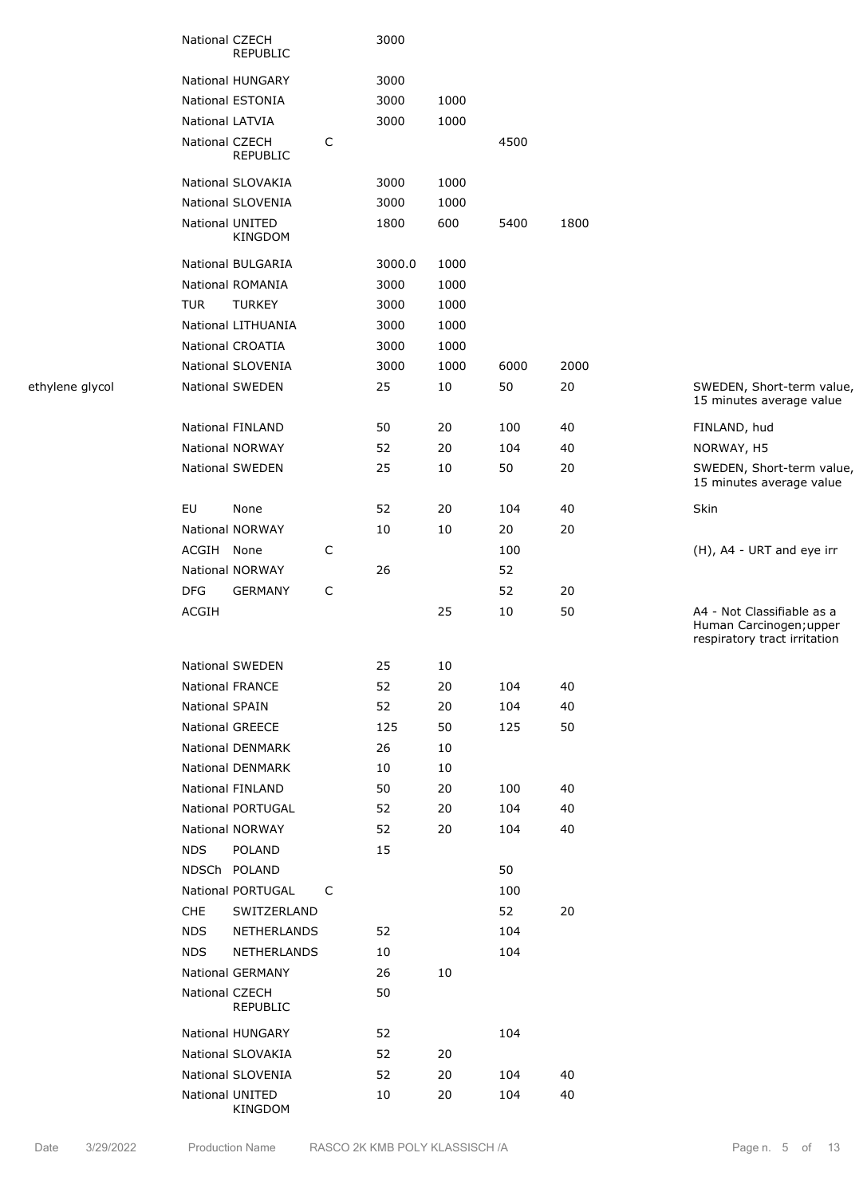|                 | National CZECH<br><b>REPUBLIC</b> |   | 3000   |      |      |      |                                                                                       |
|-----------------|-----------------------------------|---|--------|------|------|------|---------------------------------------------------------------------------------------|
|                 | National HUNGARY                  |   | 3000   |      |      |      |                                                                                       |
|                 | National ESTONIA                  |   | 3000   | 1000 |      |      |                                                                                       |
|                 | National LATVIA                   |   | 3000   | 1000 |      |      |                                                                                       |
|                 | National CZECH<br><b>REPUBLIC</b> | C |        |      | 4500 |      |                                                                                       |
|                 | National SLOVAKIA                 |   | 3000   | 1000 |      |      |                                                                                       |
|                 | National SLOVENIA                 |   | 3000   | 1000 |      |      |                                                                                       |
|                 | National UNITED<br><b>KINGDOM</b> |   | 1800   | 600  | 5400 | 1800 |                                                                                       |
|                 | National BULGARIA                 |   | 3000.0 | 1000 |      |      |                                                                                       |
|                 | National ROMANIA                  |   | 3000   | 1000 |      |      |                                                                                       |
|                 | <b>TUR</b><br><b>TURKEY</b>       |   | 3000   | 1000 |      |      |                                                                                       |
|                 | National LITHUANIA                |   | 3000   | 1000 |      |      |                                                                                       |
|                 | <b>National CROATIA</b>           |   | 3000   | 1000 |      |      |                                                                                       |
|                 | National SLOVENIA                 |   | 3000   | 1000 | 6000 | 2000 |                                                                                       |
| ethylene glycol | National SWEDEN                   |   | 25     | 10   | 50   | 20   | SWEDEN, Short-term value,<br>15 minutes average value                                 |
|                 | <b>National FINLAND</b>           |   | 50     | 20   | 100  | 40   | FINLAND, hud                                                                          |
|                 | National NORWAY                   |   | 52     | 20   | 104  | 40   | NORWAY, H5                                                                            |
|                 | National SWEDEN                   |   | 25     | 10   | 50   | 20   | SWEDEN, Short-term value,<br>15 minutes average value                                 |
|                 | EU<br>None                        |   | 52     | 20   | 104  | 40   | Skin                                                                                  |
|                 | National NORWAY                   |   | 10     | 10   | 20   | 20   |                                                                                       |
|                 | ACGIH None                        | C |        |      | 100  |      | (H), A4 - URT and eye irr                                                             |
|                 | National NORWAY                   |   | 26     |      | 52   |      |                                                                                       |
|                 | <b>DFG</b><br><b>GERMANY</b>      | C |        |      | 52   | 20   |                                                                                       |
|                 | ACGIH                             |   |        | 25   | 10   | 50   | A4 - Not Classifiable as a<br>Human Carcinogen; upper<br>respiratory tract irritation |
|                 | National SWEDEN                   |   | 25     | 10   |      |      |                                                                                       |
|                 | National FRANCE                   |   | 52     | 20   | 104  | 40   |                                                                                       |
|                 | National SPAIN                    |   | 52     | 20   | 104  | 40   |                                                                                       |
|                 | National GREECE                   |   | 125    | 50   | 125  | 50   |                                                                                       |
|                 | National DENMARK                  |   | 26     | 10   |      |      |                                                                                       |
|                 | National DENMARK                  |   | 10     | 10   |      |      |                                                                                       |
|                 | National FINLAND                  |   | 50     | 20   | 100  | 40   |                                                                                       |
|                 | <b>National PORTUGAL</b>          |   | 52     | 20   | 104  | 40   |                                                                                       |
|                 | National NORWAY                   |   | 52     | 20   | 104  | 40   |                                                                                       |
|                 | <b>NDS</b><br>POLAND              |   | 15     |      |      |      |                                                                                       |
|                 | NDSCh POLAND                      |   |        |      | 50   |      |                                                                                       |
|                 | National PORTUGAL                 | C |        |      | 100  |      |                                                                                       |
|                 | <b>CHE</b><br>SWITZERLAND         |   |        |      | 52   | 20   |                                                                                       |
|                 | <b>NDS</b><br>NETHERLANDS         |   | 52     |      | 104  |      |                                                                                       |
|                 | <b>NDS</b><br>NETHERLANDS         |   | 10     |      | 104  |      |                                                                                       |
|                 | National GERMANY                  |   | 26     | 10   |      |      |                                                                                       |
|                 | National CZECH<br>REPUBLIC        |   | 50     |      |      |      |                                                                                       |
|                 | National HUNGARY                  |   | 52     |      | 104  |      |                                                                                       |
|                 | National SLOVAKIA                 |   | 52     | 20   |      |      |                                                                                       |
|                 | National SLOVENIA                 |   | 52     | 20   | 104  | 40   |                                                                                       |
|                 | National UNITED<br>KINGDOM        |   | 10     | 20   | 104  | 40   |                                                                                       |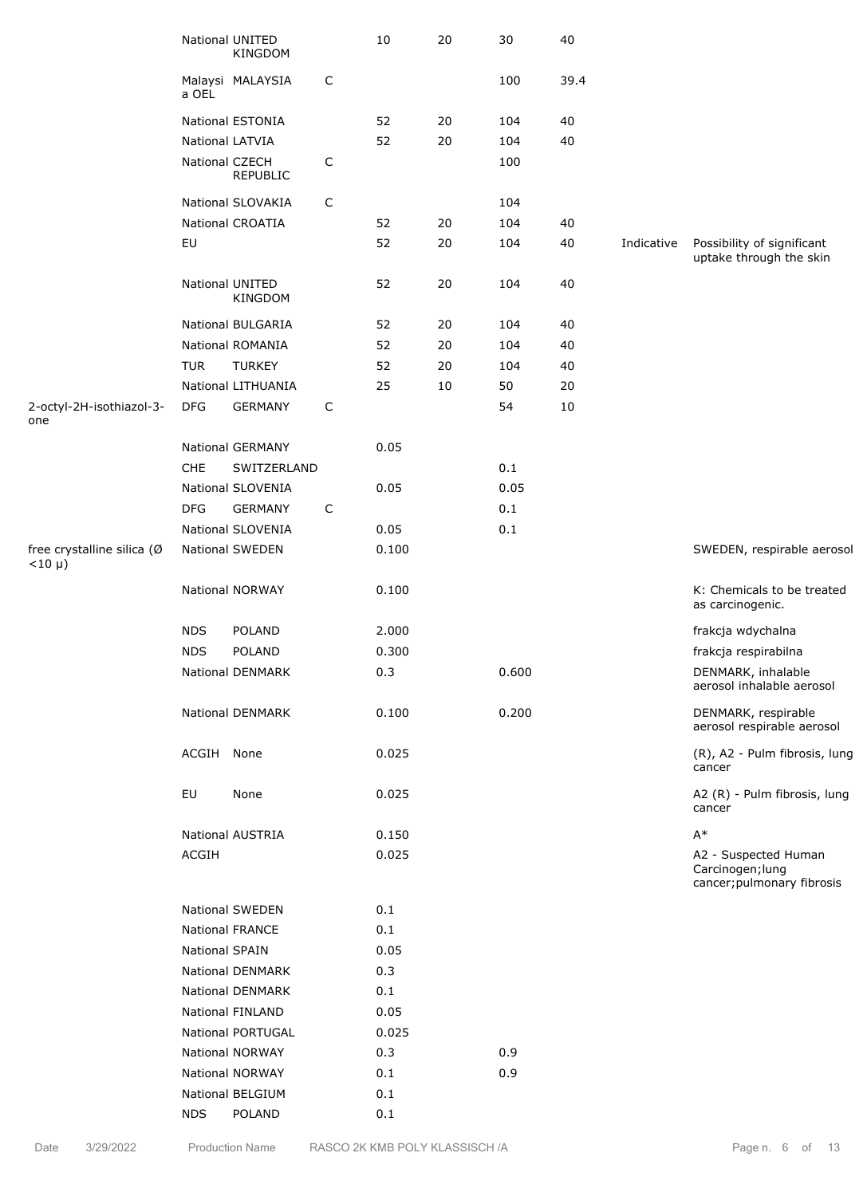|                                         |                | National UNITED<br>KINGDOM |              | 10    | 20     | 30      | 40     |            |                                                                        |
|-----------------------------------------|----------------|----------------------------|--------------|-------|--------|---------|--------|------------|------------------------------------------------------------------------|
|                                         | a OEL          | Malaysi MALAYSIA           | $\mathsf{C}$ |       |        | 100     | 39.4   |            |                                                                        |
|                                         |                | National ESTONIA           |              | 52    | 20     | 104     | 40     |            |                                                                        |
|                                         |                | National LATVIA            |              | 52    | $20\,$ | 104     | 40     |            |                                                                        |
|                                         |                | National CZECH<br>REPUBLIC | $\mathsf{C}$ |       |        | 100     |        |            |                                                                        |
|                                         |                | National SLOVAKIA          | C            |       |        | 104     |        |            |                                                                        |
|                                         |                | National CROATIA           |              | 52    | 20     | 104     | 40     |            |                                                                        |
|                                         | EU             |                            |              | 52    | 20     | 104     | 40     | Indicative | Possibility of significant<br>uptake through the skin                  |
|                                         |                | National UNITED<br>KINGDOM |              | 52    | 20     | 104     | 40     |            |                                                                        |
|                                         |                | National BULGARIA          |              | 52    | 20     | 104     | 40     |            |                                                                        |
|                                         |                | National ROMANIA           |              | 52    | 20     | 104     | 40     |            |                                                                        |
|                                         | <b>TUR</b>     | <b>TURKEY</b>              |              | 52    | 20     | 104     | 40     |            |                                                                        |
|                                         |                | National LITHUANIA         |              | 25    | 10     | 50      | 20     |            |                                                                        |
| 2-octyl-2H-isothiazol-3-<br>one         | <b>DFG</b>     | <b>GERMANY</b>             | C            |       |        | 54      | $10\,$ |            |                                                                        |
|                                         |                | National GERMANY           |              | 0.05  |        |         |        |            |                                                                        |
|                                         | CHE            | SWITZERLAND                |              |       |        | $0.1\,$ |        |            |                                                                        |
|                                         |                | National SLOVENIA          |              | 0.05  |        | 0.05    |        |            |                                                                        |
|                                         | <b>DFG</b>     | <b>GERMANY</b>             | C            |       |        | 0.1     |        |            |                                                                        |
|                                         |                | National SLOVENIA          |              | 0.05  |        | $0.1\,$ |        |            |                                                                        |
| free crystalline silica (Ø<br>$<$ 10 µ) |                | <b>National SWEDEN</b>     |              | 0.100 |        |         |        |            | SWEDEN, respirable aerosol                                             |
|                                         |                | <b>National NORWAY</b>     |              | 0.100 |        |         |        |            | K: Chemicals to be treated<br>as carcinogenic.                         |
|                                         | <b>NDS</b>     | POLAND                     |              | 2.000 |        |         |        |            | frakcja wdychalna                                                      |
|                                         | <b>NDS</b>     | POLAND                     |              | 0.300 |        |         |        |            | frakcja respirabilna                                                   |
|                                         |                | National DENMARK           |              | 0.3   |        | 0.600   |        |            | DENMARK, inhalable<br>aerosol inhalable aerosol                        |
|                                         |                | National DENMARK           |              | 0.100 |        | 0.200   |        |            | DENMARK, respirable<br>aerosol respirable aerosol                      |
|                                         | ACGIH None     |                            |              | 0.025 |        |         |        |            | (R), A2 - Pulm fibrosis, lung<br>cancer                                |
|                                         | EU             | None                       |              | 0.025 |        |         |        |            | A2 (R) - Pulm fibrosis, lung<br>cancer                                 |
|                                         |                | <b>National AUSTRIA</b>    |              | 0.150 |        |         |        |            | $A^*$                                                                  |
|                                         | ACGIH          |                            |              | 0.025 |        |         |        |            | A2 - Suspected Human<br>Carcinogen; lung<br>cancer; pulmonary fibrosis |
|                                         |                | National SWEDEN            |              | 0.1   |        |         |        |            |                                                                        |
|                                         |                | <b>National FRANCE</b>     |              | 0.1   |        |         |        |            |                                                                        |
|                                         | National SPAIN |                            |              | 0.05  |        |         |        |            |                                                                        |
|                                         |                | <b>National DENMARK</b>    |              | 0.3   |        |         |        |            |                                                                        |
|                                         |                | <b>National DENMARK</b>    |              | 0.1   |        |         |        |            |                                                                        |
|                                         |                | <b>National FINLAND</b>    |              | 0.05  |        |         |        |            |                                                                        |
|                                         |                | National PORTUGAL          |              | 0.025 |        |         |        |            |                                                                        |
|                                         |                | National NORWAY            |              | 0.3   |        | 0.9     |        |            |                                                                        |
|                                         |                | <b>National NORWAY</b>     |              | 0.1   |        | 0.9     |        |            |                                                                        |
|                                         |                | National BELGIUM           |              | 0.1   |        |         |        |            |                                                                        |
|                                         | <b>NDS</b>     | POLAND                     |              | 0.1   |        |         |        |            |                                                                        |
|                                         |                |                            |              |       |        |         |        |            |                                                                        |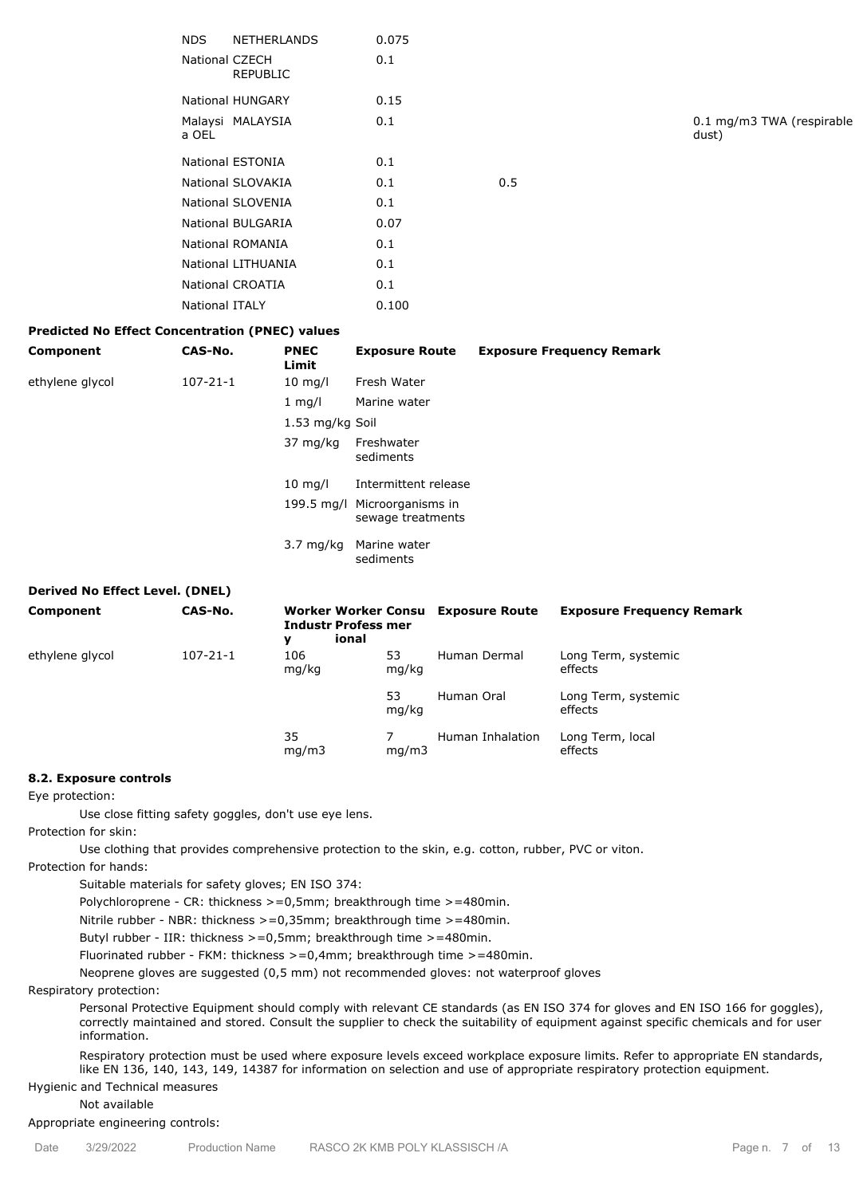|                | NDS NETHERLANDS          | 0.075 |     |
|----------------|--------------------------|-------|-----|
| National CZECH | <b>REPUBLIC</b>          | 0.1   |     |
|                | National HUNGARY         | 0.15  |     |
| a OEL          | Malaysi MALAYSIA         | 0.1   |     |
|                | National ESTONIA         | 0.1   |     |
|                | National SLOVAKIA        | 0.1   | 0.5 |
|                | National SLOVENIA        | 0.1   |     |
|                | <b>National BULGARIA</b> | 0.07  |     |
|                | National ROMANIA         | 0.1   |     |
|                | National LITHUANIA       | 0.1   |     |
|                | National CROATIA         | 0.1   |     |
| National ITALY |                          | 0.100 |     |

0.1 mg/m3 TWA (respirable dust)

## **Predicted No Effect Concentration (PNEC) values**

| Component       | CAS-No.        | <b>PNEC</b><br>Limit | <b>Exposure Route</b>                             | <b>Exposure Frequency Remark</b> |
|-----------------|----------------|----------------------|---------------------------------------------------|----------------------------------|
| ethylene glycol | $107 - 21 - 1$ | $10 \text{ mg/l}$    | Fresh Water                                       |                                  |
|                 |                | $1 \text{ mg/l}$     | Marine water                                      |                                  |
|                 |                | 1.53 mg/kg Soil      |                                                   |                                  |
|                 |                | 37 mg/kg             | Freshwater<br>sediments                           |                                  |
|                 |                | $10 \text{ mg/l}$    | Intermittent release                              |                                  |
|                 |                |                      | 199.5 mg/l Microorganisms in<br>sewage treatments |                                  |
|                 |                | $3.7 \text{ mg/kg}$  | Marine water<br>sediments                         |                                  |

## **Derived No Effect Level. (DNEL)**

| Component       | CAS-No.        | <b>Industr Profess mer</b><br>ional<br>v |             | Worker Worker Consu Exposure Route | <b>Exposure Frequency Remark</b> |
|-----------------|----------------|------------------------------------------|-------------|------------------------------------|----------------------------------|
| ethylene glycol | $107 - 21 - 1$ | 106<br>mg/kg                             | 53<br>mg/kg | Human Dermal                       | Long Term, systemic<br>effects   |
|                 |                |                                          | 53<br>mg/kg | Human Oral                         | Long Term, systemic<br>effects   |
|                 |                | 35<br>mq/m3                              | mq/m3       | Human Inhalation                   | Long Term, local<br>effects      |

#### **8.2. Exposure controls**

Eye protection:

Use close fitting safety goggles, don't use eye lens.

Protection for skin:

Use clothing that provides comprehensive protection to the skin, e.g. cotton, rubber, PVC or viton.

Protection for hands:

Suitable materials for safety gloves; EN ISO 374:

Polychloroprene - CR: thickness >=0,5mm; breakthrough time >=480min.

Nitrile rubber - NBR: thickness >=0,35mm; breakthrough time >=480min.

Butyl rubber - IIR: thickness >=0,5mm; breakthrough time >=480min.

Fluorinated rubber - FKM: thickness >=0,4mm; breakthrough time >=480min.

Neoprene gloves are suggested (0,5 mm) not recommended gloves: not waterproof gloves

Respiratory protection:

Personal Protective Equipment should comply with relevant CE standards (as EN ISO 374 for gloves and EN ISO 166 for goggles), correctly maintained and stored. Consult the supplier to check the suitability of equipment against specific chemicals and for user information.

Respiratory protection must be used where exposure levels exceed workplace exposure limits. Refer to appropriate EN standards, like EN 136, 140, 143, 149, 14387 for information on selection and use of appropriate respiratory protection equipment.

Hygienic and Technical measures

Not available

Appropriate engineering controls: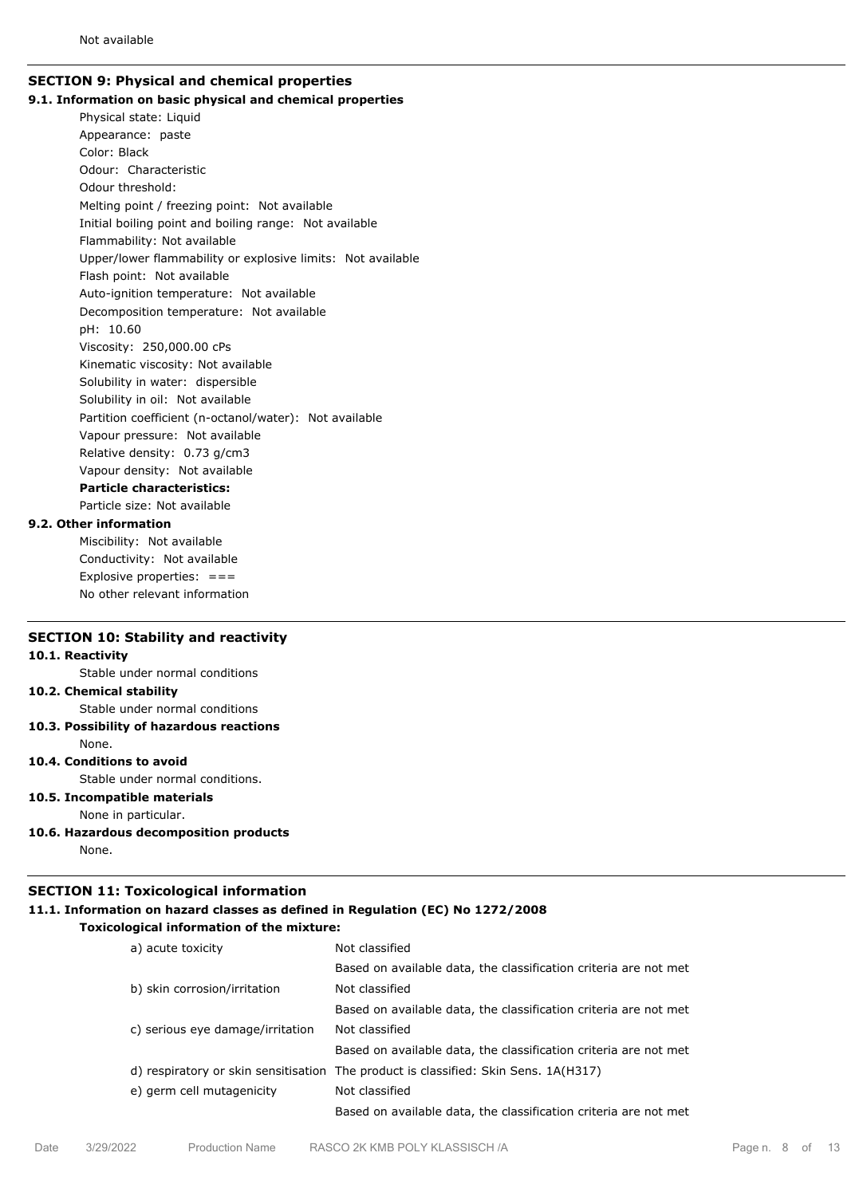## **SECTION 9: Physical and chemical properties 9.1. Information on basic physical and chemical properties**

Physical state: Liquid Appearance: paste Color: Black Odour: Characteristic Odour threshold: Melting point / freezing point: Not available Initial boiling point and boiling range: Not available Flammability: Not available Upper/lower flammability or explosive limits: Not available Flash point: Not available Auto-ignition temperature: Not available Decomposition temperature: Not available pH: 10.60 Viscosity: 250,000.00 cPs Kinematic viscosity: Not available Solubility in water: dispersible Solubility in oil: Not available Partition coefficient (n-octanol/water): Not available Vapour pressure: Not available Relative density: 0.73 g/cm3 Vapour density: Not available **Particle characteristics:** Particle size: Not available

# **9.2. Other information**

Miscibility: Not available Conductivity: Not available Explosive properties:  $==$ No other relevant information

### **SECTION 10: Stability and reactivity**

#### **10.1. Reactivity**

Stable under normal conditions

**10.2. Chemical stability**

Stable under normal conditions

**10.3. Possibility of hazardous reactions**

#### None.

**10.4. Conditions to avoid**

Stable under normal conditions.

- **10.5. Incompatible materials**
- None in particular.
- **10.6. Hazardous decomposition products** None.

# **SECTION 11: Toxicological information**

# **11.1. Information on hazard classes as defined in Regulation (EC) No 1272/2008**

**Toxicological information of the mixture:**

| a) acute toxicity                | Not classified                                                                      |
|----------------------------------|-------------------------------------------------------------------------------------|
|                                  | Based on available data, the classification criteria are not met                    |
| b) skin corrosion/irritation     | Not classified                                                                      |
|                                  | Based on available data, the classification criteria are not met                    |
| c) serious eye damage/irritation | Not classified                                                                      |
|                                  | Based on available data, the classification criteria are not met                    |
|                                  | d) respiratory or skin sensitisation The product is classified: Skin Sens. 1A(H317) |
| e) germ cell mutagenicity        | Not classified                                                                      |
|                                  | Based on available data, the classification criteria are not met                    |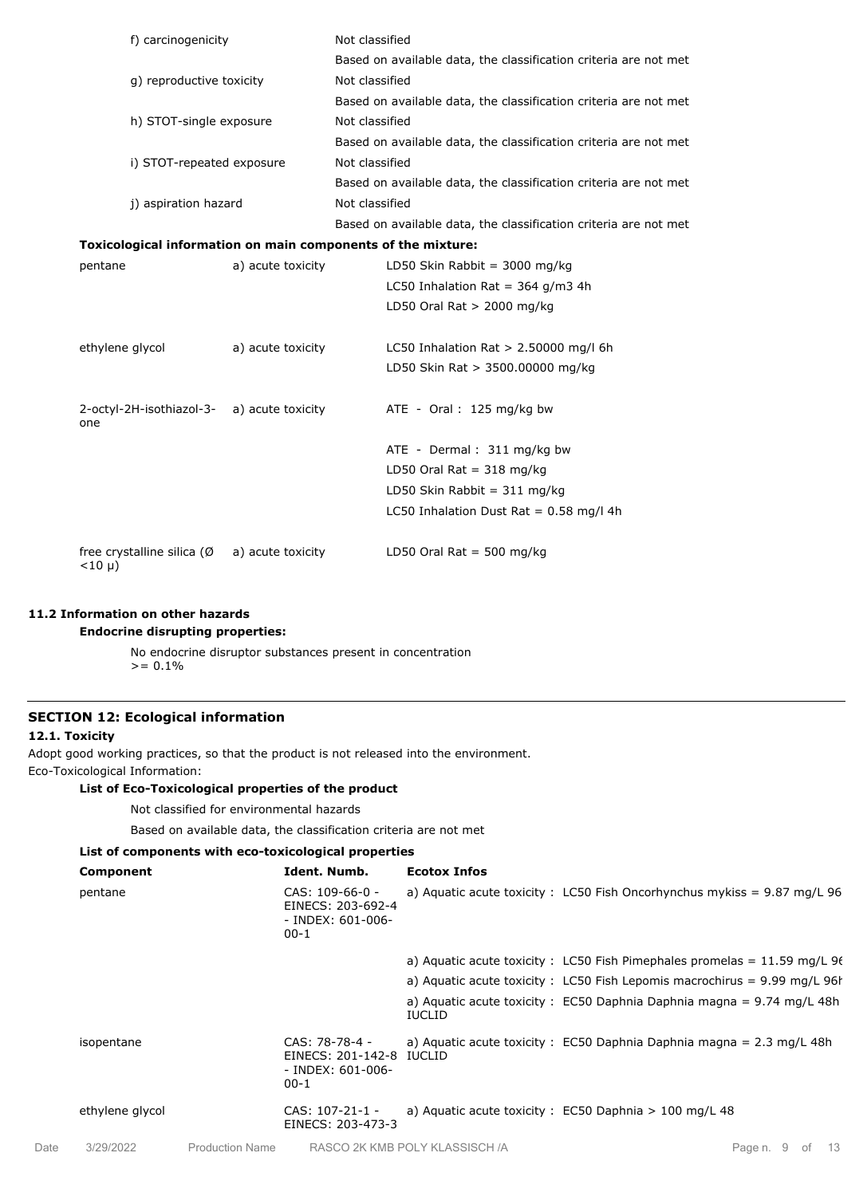| f) carcinogenicity       |                                                              | Not classified                                                   |  |  |  |  |
|--------------------------|--------------------------------------------------------------|------------------------------------------------------------------|--|--|--|--|
|                          |                                                              | Based on available data, the classification criteria are not met |  |  |  |  |
| g) reproductive toxicity |                                                              | Not classified                                                   |  |  |  |  |
|                          |                                                              | Based on available data, the classification criteria are not met |  |  |  |  |
|                          | h) STOT-single exposure                                      | Not classified                                                   |  |  |  |  |
|                          |                                                              | Based on available data, the classification criteria are not met |  |  |  |  |
|                          | i) STOT-repeated exposure                                    | Not classified                                                   |  |  |  |  |
|                          |                                                              | Based on available data, the classification criteria are not met |  |  |  |  |
| j) aspiration hazard     |                                                              | Not classified                                                   |  |  |  |  |
|                          |                                                              | Based on available data, the classification criteria are not met |  |  |  |  |
|                          |                                                              | Toxicological information on main components of the mixture:     |  |  |  |  |
| pentane                  | a) acute toxicity                                            | LD50 Skin Rabbit = 3000 mg/kg                                    |  |  |  |  |
|                          |                                                              | LC50 Inhalation Rat = $364$ g/m3 4h                              |  |  |  |  |
|                          |                                                              | LD50 Oral Rat $> 2000$ mg/kg                                     |  |  |  |  |
| ethylene glycol          | a) acute toxicity                                            | LC50 Inhalation Rat $> 2.50000$ mg/l 6h                          |  |  |  |  |
|                          |                                                              | LD50 Skin Rat > 3500.00000 mg/kg                                 |  |  |  |  |
| one                      | 2-octyl-2H-isothiazol-3- a) acute toxicity                   | ATE - Oral: 125 mg/kg bw                                         |  |  |  |  |
|                          |                                                              | ATE - Dermal: 311 mg/kg bw                                       |  |  |  |  |
|                          |                                                              | LD50 Oral Rat = $318 \text{ mg/kg}$                              |  |  |  |  |
|                          |                                                              | LD50 Skin Rabbit = $311 \text{ mg/kg}$                           |  |  |  |  |
|                          |                                                              | LC50 Inhalation Dust Rat = $0.58$ mg/l 4h                        |  |  |  |  |
| $<$ 10 µ)                | free crystalline silica $(\emptyset \quad a)$ acute toxicity | LD50 Oral Rat = 500 mg/kg                                        |  |  |  |  |

## **11.2 Information on other hazards**

# **Endocrine disrupting properties:**

No endocrine disruptor substances present in concentration  $>= 0.1\%$ 

## **SECTION 12: Ecological information**

## **12.1. Toxicity**

Adopt good working practices, so that the product is not released into the environment. Eco-Toxicological Information:

## **List of Eco-Toxicological properties of the product**

Not classified for environmental hazards

Based on available data, the classification criteria are not met

# **List of components with eco-toxicological properties**

|      | Component       |                        | Ident. Numb.                                                                | <b>Ecotox Infos</b>            |                                                                                |
|------|-----------------|------------------------|-----------------------------------------------------------------------------|--------------------------------|--------------------------------------------------------------------------------|
|      | pentane         |                        | CAS: 109-66-0 -<br>EINECS: 203-692-4<br>- INDEX: 601-006-<br>$00-1$         |                                | a) Aquatic acute toxicity : LC50 Fish Oncorhynchus mykiss = $9.87$ mg/L $96$   |
|      |                 |                        |                                                                             |                                | a) Aquatic acute toxicity : LC50 Fish Pimephales promelas = $11.59$ mg/L 96    |
|      |                 |                        |                                                                             |                                | a) Aquatic acute toxicity : LC50 Fish Lepomis macrochirus = $9.99$ mg/L $96$ h |
|      |                 |                        |                                                                             | <b>IUCLID</b>                  | a) Aquatic acute toxicity: EC50 Daphnia Daphnia magna = $9.74$ mg/L 48h        |
|      | isopentane      |                        | CAS: 78-78-4 -<br>EINECS: 201-142-8 IUCLID<br>$-$ INDEX: 601-006-<br>$00-1$ |                                | a) Aquatic acute toxicity : EC50 Daphnia Daphnia magna = $2.3$ mg/L 48h        |
|      | ethylene glycol |                        | $CAS: 107-21-1-$<br>EINECS: 203-473-3                                       |                                | a) Aquatic acute toxicity: $EC50$ Daphnia $> 100$ mg/L 48                      |
| Date | 3/29/2022       | <b>Production Name</b> |                                                                             | RASCO 2K KMB POLY KLASSISCH /A | Page n. 9 of<br>- 13                                                           |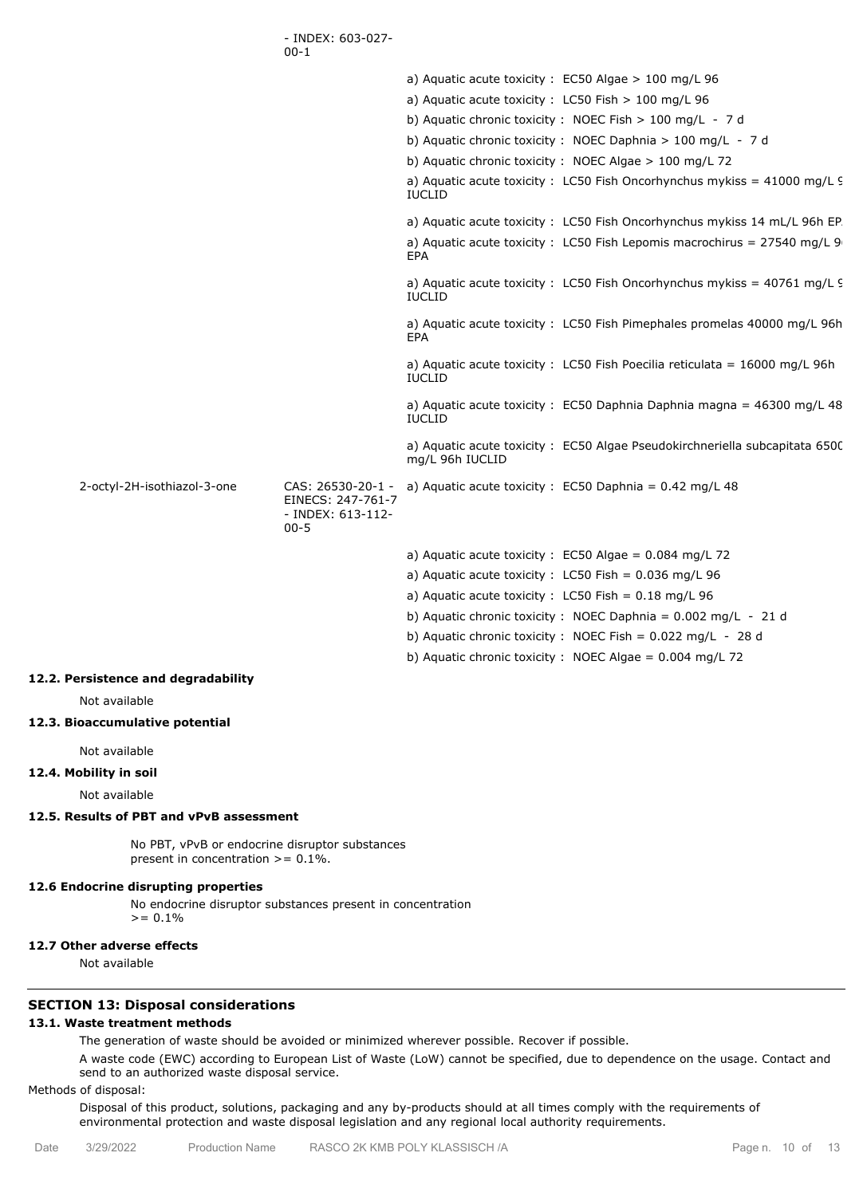|                             | - INDEX: 603-027-<br>$00 - 1$                                           |                                                                                                          |
|-----------------------------|-------------------------------------------------------------------------|----------------------------------------------------------------------------------------------------------|
|                             |                                                                         | a) Aquatic acute toxicity : $EC50$ Algae > 100 mg/L 96                                                   |
|                             |                                                                         | a) Aquatic acute toxicity : LC50 Fish $> 100$ mg/L 96                                                    |
|                             |                                                                         | b) Aquatic chronic toxicity: NOEC Fish > 100 mg/L - 7 d                                                  |
|                             |                                                                         | b) Aquatic chronic toxicity : NOEC Daphnia $> 100$ mg/L - 7 d                                            |
|                             |                                                                         | b) Aquatic chronic toxicity: NOEC Algae > 100 mg/L 72                                                    |
|                             |                                                                         | a) Aquatic acute toxicity : LC50 Fish Oncorhynchus mykiss = $41000$ mg/L $\overline{S}$<br><b>IUCLID</b> |
|                             |                                                                         | a) Aquatic acute toxicity: LC50 Fish Oncorhynchus mykiss 14 mL/L 96h EP.                                 |
|                             |                                                                         | a) Aquatic acute toxicity : LC50 Fish Lepomis macrochirus = $27540$ mg/L 9<br>EPA                        |
|                             |                                                                         | a) Aquatic acute toxicity : LC50 Fish Oncorhynchus mykiss = $40761$ mg/L $\overline{5}$<br><b>IUCLID</b> |
|                             |                                                                         | a) Aquatic acute toxicity: LC50 Fish Pimephales promelas 40000 mg/L 96h<br><b>EPA</b>                    |
|                             |                                                                         | a) Aquatic acute toxicity : LC50 Fish Poecilia reticulata = $16000 \text{ mg/L}$ 96h<br><b>IUCLID</b>    |
|                             |                                                                         | a) Aquatic acute toxicity : EC50 Daphnia Daphnia magna = 46300 mg/L 48<br><b>IUCLID</b>                  |
|                             |                                                                         | a) Aquatic acute toxicity: EC50 Algae Pseudokirchneriella subcapitata 6500<br>mg/L 96h IUCLID            |
| 2-octyl-2H-isothiazol-3-one | CAS: 26530-20-1 -<br>EINECS: 247-761-7<br>- INDEX: 613-112-<br>$00 - 5$ | a) Aquatic acute toxicity : $EC50$ Daphnia = 0.42 mg/L 48                                                |
|                             |                                                                         | a) Aquatic acute toxicity : $EC50$ Algae = 0.084 mg/L 72                                                 |
|                             |                                                                         | a) Aquatic acute toxicity : LC50 Fish = $0.036$ mg/L 96                                                  |
|                             |                                                                         | a) Aquatic acute toxicity : LC50 Fish = $0.18$ mg/L 96                                                   |
|                             |                                                                         | b) Aquatic chronic toxicity : NOEC Daphnia = $0.002$ mg/L - 21 d                                         |
|                             |                                                                         | b) Aquatic chronic toxicity : NOEC Fish = $0.022$ mg/L - 28 d                                            |
|                             |                                                                         | b) Aquatic chronic toxicity : NOEC Algae = $0.004$ mg/L 72                                               |

#### **12.2. Persistence and degradability**

Not available

#### **12.3. Bioaccumulative potential**

Not available

## **12.4. Mobility in soil**

Not available

## **12.5. Results of PBT and vPvB assessment**

No PBT, vPvB or endocrine disruptor substances present in concentration  $> = 0.1\%$ .

## **12.6 Endocrine disrupting properties**

No endocrine disruptor substances present in concentration  $>= 0.1\%$ 

# **12.7 Other adverse effects**

Not available

# **SECTION 13: Disposal considerations**

# **13.1. Waste treatment methods**

The generation of waste should be avoided or minimized wherever possible. Recover if possible.

A waste code (EWC) according to European List of Waste (LoW) cannot be specified, due to dependence on the usage. Contact and send to an authorized waste disposal service.

## Methods of disposal:

Disposal of this product, solutions, packaging and any by-products should at all times comply with the requirements of environmental protection and waste disposal legislation and any regional local authority requirements.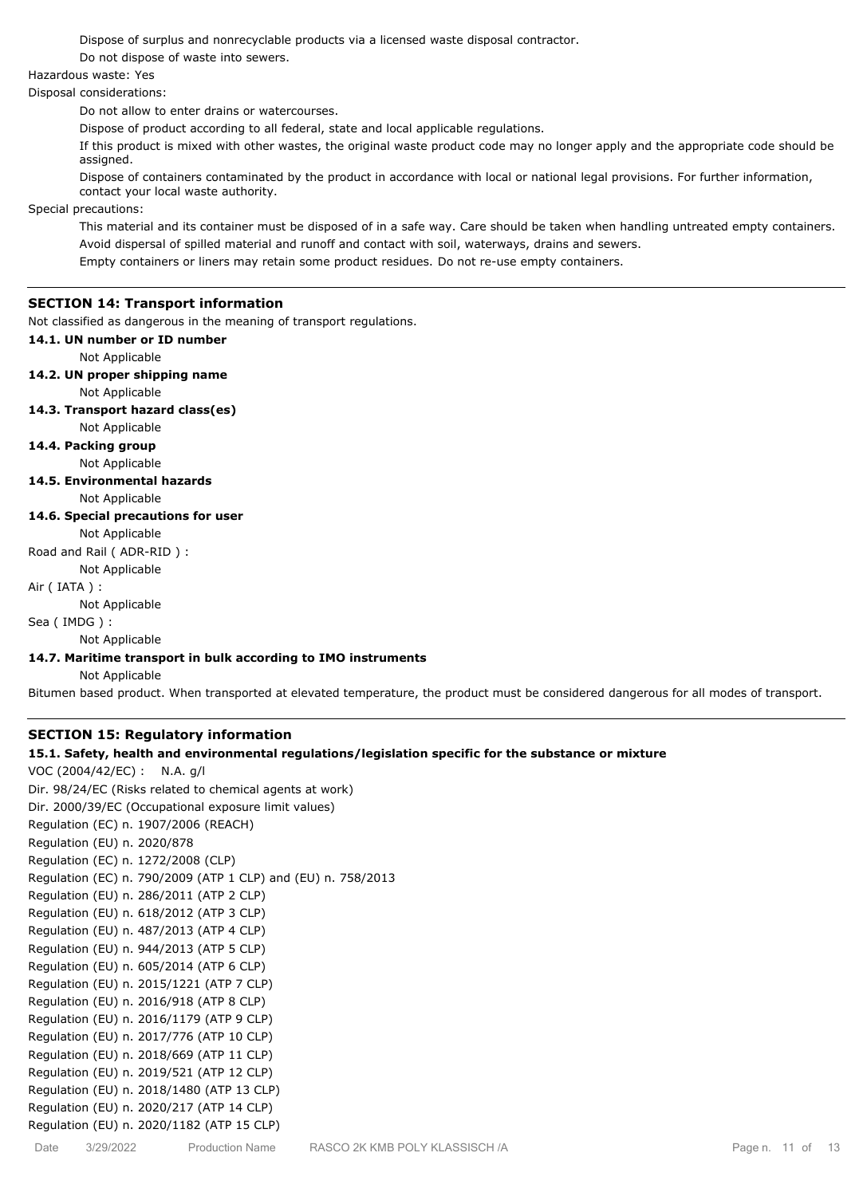Dispose of surplus and nonrecyclable products via a licensed waste disposal contractor.

Do not dispose of waste into sewers.

Hazardous waste: Yes

Disposal considerations:

Do not allow to enter drains or watercourses.

Dispose of product according to all federal, state and local applicable regulations.

If this product is mixed with other wastes, the original waste product code may no longer apply and the appropriate code should be assigned.

Dispose of containers contaminated by the product in accordance with local or national legal provisions. For further information, contact your local waste authority.

Special precautions:

This material and its container must be disposed of in a safe way. Care should be taken when handling untreated empty containers. Avoid dispersal of spilled material and runoff and contact with soil, waterways, drains and sewers.

Empty containers or liners may retain some product residues. Do not re-use empty containers.

# **SECTION 14: Transport information**

Not classified as dangerous in the meaning of transport regulations.

### **14.1. UN number or ID number**

Not Applicable

### **14.2. UN proper shipping name**

Not Applicable

**14.3. Transport hazard class(es)**

Not Applicable

**14.4. Packing group**

Not Applicable

**14.5. Environmental hazards**

Not Applicable

## **14.6. Special precautions for user**

Not Applicable

Road and Rail ( ADR-RID ) :

# Not Applicable

Air ( IATA ) :

Not Applicable

Sea ( IMDG ) :

Not Applicable

## **14.7. Maritime transport in bulk according to IMO instruments**

Not Applicable

Bitumen based product. When transported at elevated temperature, the product must be considered dangerous for all modes of transport.

# **SECTION 15: Regulatory information**

### **15.1. Safety, health and environmental regulations/legislation specific for the substance or mixture**

VOC (2004/42/EC) : N.A. g/l Dir. 98/24/EC (Risks related to chemical agents at work) Dir. 2000/39/EC (Occupational exposure limit values) Regulation (EC) n. 1907/2006 (REACH) Regulation (EU) n. 2020/878 Regulation (EC) n. 1272/2008 (CLP) Regulation (EC) n. 790/2009 (ATP 1 CLP) and (EU) n. 758/2013 Regulation (EU) n. 286/2011 (ATP 2 CLP) Regulation (EU) n. 618/2012 (ATP 3 CLP) Regulation (EU) n. 487/2013 (ATP 4 CLP) Regulation (EU) n. 944/2013 (ATP 5 CLP) Regulation (EU) n. 605/2014 (ATP 6 CLP) Regulation (EU) n. 2015/1221 (ATP 7 CLP) Regulation (EU) n. 2016/918 (ATP 8 CLP) Regulation (EU) n. 2016/1179 (ATP 9 CLP) Regulation (EU) n. 2017/776 (ATP 10 CLP) Regulation (EU) n. 2018/669 (ATP 11 CLP) Regulation (EU) n. 2019/521 (ATP 12 CLP) Regulation (EU) n. 2018/1480 (ATP 13 CLP) Regulation (EU) n. 2020/217 (ATP 14 CLP) Regulation (EU) n. 2020/1182 (ATP 15 CLP)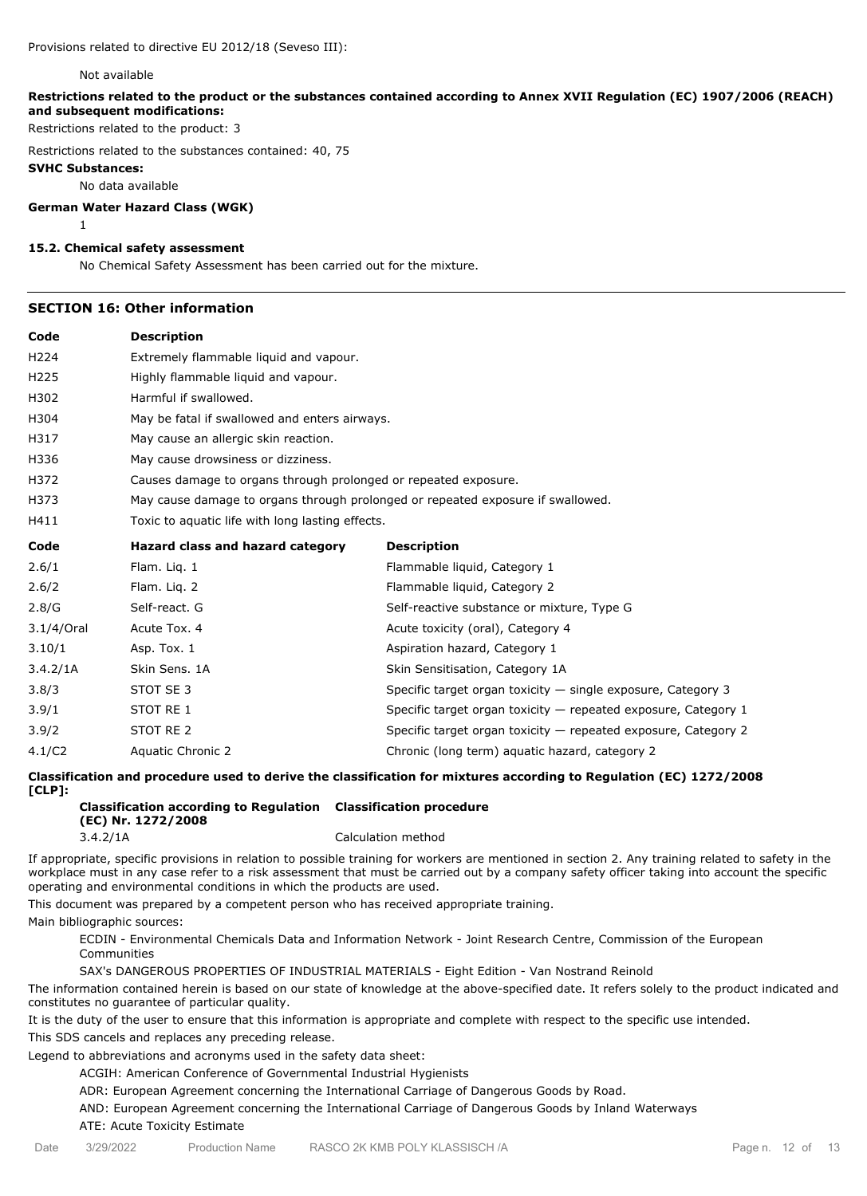## Provisions related to directive EU 2012/18 (Seveso III):

#### Not available

**Restrictions related to the product or the substances contained according to Annex XVII Regulation (EC) 1907/2006 (REACH) and subsequent modifications:**

Restrictions related to the product: 3

Restrictions related to the substances contained: 40, 75

#### **SVHC Substances:**

1

No data available

#### **German Water Hazard Class (WGK)**

## **15.2. Chemical safety assessment**

No Chemical Safety Assessment has been carried out for the mixture.

# **SECTION 16: Other information**

| Code             | <b>Description</b>                                                              |                                                                  |  |
|------------------|---------------------------------------------------------------------------------|------------------------------------------------------------------|--|
| H <sub>224</sub> | Extremely flammable liquid and vapour.                                          |                                                                  |  |
| H <sub>225</sub> | Highly flammable liquid and vapour.                                             |                                                                  |  |
| H302             | Harmful if swallowed.                                                           |                                                                  |  |
| H304             | May be fatal if swallowed and enters airways.                                   |                                                                  |  |
| H317             | May cause an allergic skin reaction.                                            |                                                                  |  |
| H336             | May cause drowsiness or dizziness.                                              |                                                                  |  |
| H372             | Causes damage to organs through prolonged or repeated exposure.                 |                                                                  |  |
| H373             | May cause damage to organs through prolonged or repeated exposure if swallowed. |                                                                  |  |
| H411             | Toxic to aquatic life with long lasting effects.                                |                                                                  |  |
| Code             | Hazard class and hazard category                                                | <b>Description</b>                                               |  |
| 2.6/1            | Flam. Lig. 1                                                                    | Flammable liquid, Category 1                                     |  |
| 2.6/2            | Flam. Lig. 2                                                                    | Flammable liquid, Category 2                                     |  |
| 2.8/G            | Self-react. G                                                                   | Self-reactive substance or mixture, Type G                       |  |
| 3.1/4/Oral       | Acute Tox. 4                                                                    | Acute toxicity (oral), Category 4                                |  |
| 3.10/1           | Asp. Tox. 1                                                                     | Aspiration hazard, Category 1                                    |  |
| 3.4.2/1A         | Skin Sens. 1A                                                                   | Skin Sensitisation, Category 1A                                  |  |
| 3.8/3            | STOT SE 3                                                                       | Specific target organ toxicity $-$ single exposure, Category 3   |  |
| 3.9/1            | STOT RE 1                                                                       | Specific target organ toxicity $-$ repeated exposure, Category 1 |  |
| 3.9/2            | STOT RE 2                                                                       | Specific target organ toxicity - repeated exposure, Category 2   |  |
| 4.1/C2           | Aquatic Chronic 2                                                               | Chronic (long term) aquatic hazard, category 2                   |  |

**Classification and procedure used to derive the classification for mixtures according to Regulation (EC) 1272/2008 [CLP]:**

| Classification according to Regulation Classification procedure |                    |
|-----------------------------------------------------------------|--------------------|
| (EC) Nr. 1272/2008                                              |                    |
| 3.4.2/1A                                                        | Calculation method |

If appropriate, specific provisions in relation to possible training for workers are mentioned in section 2. Any training related to safety in the workplace must in any case refer to a risk assessment that must be carried out by a company safety officer taking into account the specific operating and environmental conditions in which the products are used.

This document was prepared by a competent person who has received appropriate training.

Main bibliographic sources:

ECDIN - Environmental Chemicals Data and Information Network - Joint Research Centre, Commission of the European Communities

SAX's DANGEROUS PROPERTIES OF INDUSTRIAL MATERIALS - Eight Edition - Van Nostrand Reinold

The information contained herein is based on our state of knowledge at the above-specified date. It refers solely to the product indicated and constitutes no guarantee of particular quality.

It is the duty of the user to ensure that this information is appropriate and complete with respect to the specific use intended. This SDS cancels and replaces any preceding release.

Legend to abbreviations and acronyms used in the safety data sheet:

ACGIH: American Conference of Governmental Industrial Hygienists

ADR: European Agreement concerning the International Carriage of Dangerous Goods by Road.

AND: European Agreement concerning the International Carriage of Dangerous Goods by Inland Waterways

ATE: Acute Toxicity Estimate